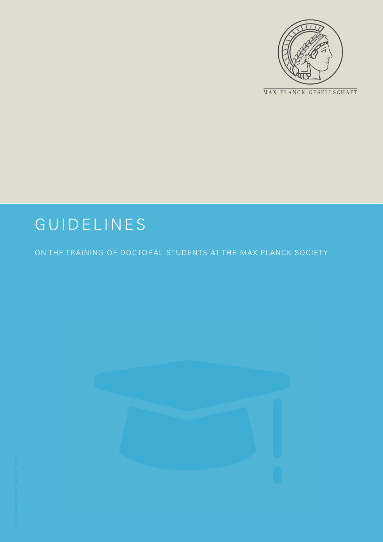

MAX-PLANCK-GESELLSCHAFT

## GUIDELINES

ON THE TRAINING OF DOCTORAL STUDENTS AT THE MAX PLANCK SOCIETY

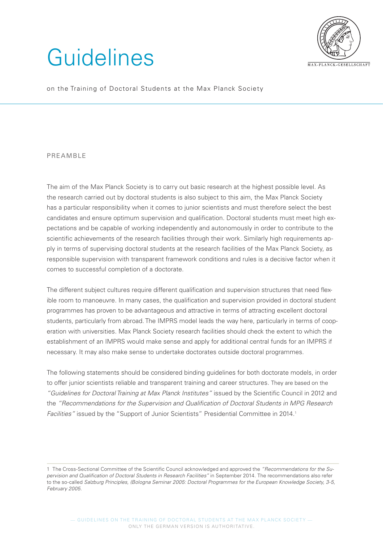## Guidelines



on the Training of Doctoral Students at the Max Planck Society

## PREAMBLE

The aim of the Max Planck Society is to carry out basic research at the highest possible level. As the research carried out by doctoral students is also subject to this aim, the Max Planck Society has a particular responsibility when it comes to junior scientists and must therefore select the best candidates and ensure optimum supervision and qualification. Doctoral students must meet high expectations and be capable of working independently and autonomously in order to contribute to the scientific achievements of the research facilities through their work. Similarly high requirements apply in terms of supervising doctoral students at the research facilities of the Max Planck Society, as responsible supervision with transparent framework conditions and rules is a decisive factor when it comes to successful completion of a doctorate.

The different subject cultures require different qualification and supervision structures that need flexible room to manoeuvre. In many cases, the qualification and supervision provided in doctoral student programmes has proven to be advantageous and attractive in terms of attracting excellent doctoral students, particularly from abroad. The IMPRS model leads the way here, particularly in terms of cooperation with universities. Max Planck Society research facilities should check the extent to which the establishment of an IMPRS would make sense and apply for additional central funds for an IMPRS if necessary. It may also make sense to undertake doctorates outside doctoral programmes.

The following statements should be considered binding guidelines for both doctorate models, in order to offer junior scientists reliable and transparent training and career structures. They are based on the *"Guidelines for Doctoral Training at Max Planck Institutes"* issued by the Scientific Council in 2012 and the *"Recommendations for the Supervision and Qualification of Doctoral Students in MPG Research*  Facilities" issued by the "Support of Junior Scientists" Presidential Committee in 2014.<sup>1</sup>

<sup>1</sup> The Cross-Sectional Committee of the Scientific Council acknowledged and approved the *"Recommendations for the Su*pervision and Qualification of Doctoral Students in Research Facilities" in September 2014. The recommendations also refer to the so-called *Salzburg Principles, (Bologna Seminar 2005: Doctoral Programmes for the European Knowledge Society, 3-5, February 2005.*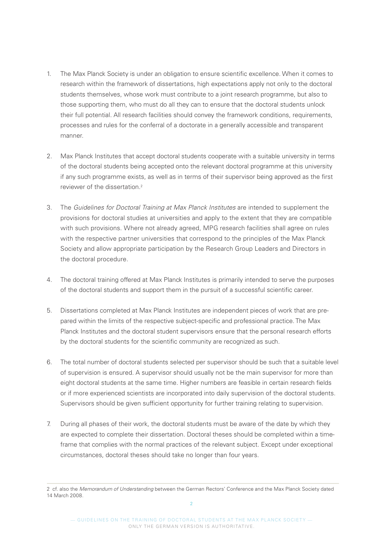- 1. The Max Planck Society is under an obligation to ensure scientific excellence. When it comes to research within the framework of dissertations, high expectations apply not only to the doctoral students themselves, whose work must contribute to a joint research programme, but also to those supporting them, who must do all they can to ensure that the doctoral students unlock their full potential. All research facilities should convey the framework conditions, requirements, processes and rules for the conferral of a doctorate in a generally accessible and transparent manner.
- 2. Max Planck Institutes that accept doctoral students cooperate with a suitable university in terms of the doctoral students being accepted onto the relevant doctoral programme at this university if any such programme exists, as well as in terms of their supervisor being approved as the first reviewer of the dissertation<sup>2</sup>
- 3. The *Guidelines for Doctoral Training at Max Planck Institutes* are intended to supplement the provisions for doctoral studies at universities and apply to the extent that they are compatible with such provisions. Where not already agreed, MPG research facilities shall agree on rules with the respective partner universities that correspond to the principles of the Max Planck Society and allow appropriate participation by the Research Group Leaders and Directors in the doctoral procedure.
- 4. The doctoral training offered at Max Planck Institutes is primarily intended to serve the purposes of the doctoral students and support them in the pursuit of a successful scientific career.
- 5. Dissertations completed at Max Planck Institutes are independent pieces of work that are prepared within the limits of the respective subject-specific and professional practice. The Max Planck Institutes and the doctoral student supervisors ensure that the personal research efforts by the doctoral students for the scientific community are recognized as such.
- 6. The total number of doctoral students selected per supervisor should be such that a suitable level of supervision is ensured. A supervisor should usually not be the main supervisor for more than eight doctoral students at the same time. Higher numbers are feasible in certain research fields or if more experienced scientists are incorporated into daily supervision of the doctoral students. Supervisors should be given sufficient opportunity for further training relating to supervision.
- 7. During all phases of their work, the doctoral students must be aware of the date by which they are expected to complete their dissertation. Doctoral theses should be completed within a timeframe that complies with the normal practices of the relevant subject. Except under exceptional circumstances, doctoral theses should take no longer than four years.

<sup>2</sup> cf. also the *Memorandum of Understanding* between the German Rectors' Conference and the Max Planck Society dated 14 March 2008.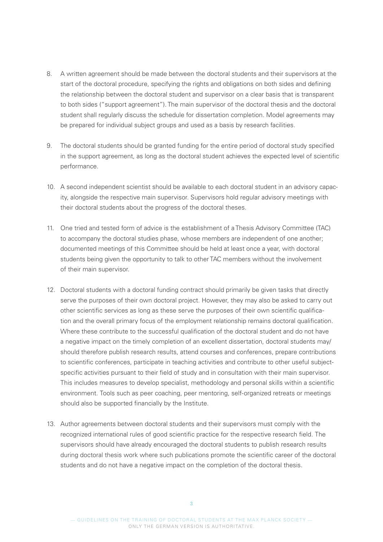- 8. A written agreement should be made between the doctoral students and their supervisors at the start of the doctoral procedure, specifying the rights and obligations on both sides and defining the relationship between the doctoral student and supervisor on a clear basis that is transparent to both sides ("support agreement"). The main supervisor of the doctoral thesis and the doctoral student shall regularly discuss the schedule for dissertation completion. Model agreements may be prepared for individual subject groups and used as a basis by research facilities.
- 9. The doctoral students should be granted funding for the entire period of doctoral study specified in the support agreement, as long as the doctoral student achieves the expected level of scientific performance.
- 10. A second independent scientist should be available to each doctoral student in an advisory capacity, alongside the respective main supervisor. Supervisors hold regular advisory meetings with their doctoral students about the progress of the doctoral theses.
- 11. One tried and tested form of advice is the establishment of a Thesis Advisory Committee (TAC) to accompany the doctoral studies phase, whose members are independent of one another; documented meetings of this Committee should be held at least once a year, with doctoral students being given the opportunity to talk to other TAC members without the involvement of their main supervisor.
- 12. Doctoral students with a doctoral funding contract should primarily be given tasks that directly serve the purposes of their own doctoral project. However, they may also be asked to carry out other scientific services as long as these serve the purposes of their own scientific qualification and the overall primary focus of the employment relationship remains doctoral qualification. Where these contribute to the successful qualification of the doctoral student and do not have a negative impact on the timely completion of an excellent dissertation, doctoral students may/ should therefore publish research results, attend courses and conferences, prepare contributions to scientific conferences, participate in teaching activities and contribute to other useful subjectspecific activities pursuant to their field of study and in consultation with their main supervisor. This includes measures to develop specialist, methodology and personal skills within a scientific environment. Tools such as peer coaching, peer mentoring, self-organized retreats or meetings should also be supported financially by the Institute.
- 13. Author agreements between doctoral students and their supervisors must comply with the recognized international rules of good scientific practice for the respective research field. The supervisors should have already encouraged the doctoral students to publish research results during doctoral thesis work where such publications promote the scientific career of the doctoral students and do not have a negative impact on the completion of the doctoral thesis.